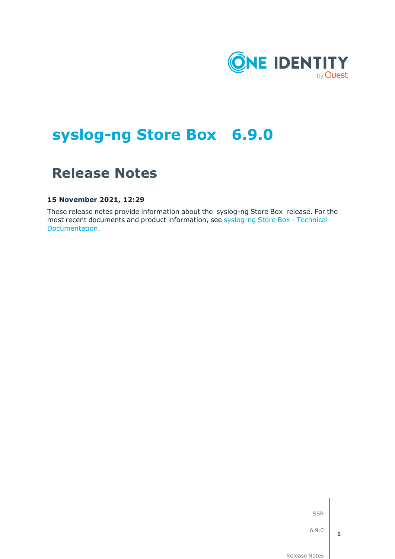

# **syslog-ng Store Box 6.9.0**

# **Release Notes**

#### **15 November 2021, 12:29**

These release notes provide information about the syslog-ng Store Box release. For the most recent documents and product information, see [syslog-ng](https://support.oneidentity.com/syslog-ng-store-box/technical-documents) Store Box - Technical [Documentation.](https://support.oneidentity.com/syslog-ng-store-box/technical-documents)

SSB

6.9.0

**1**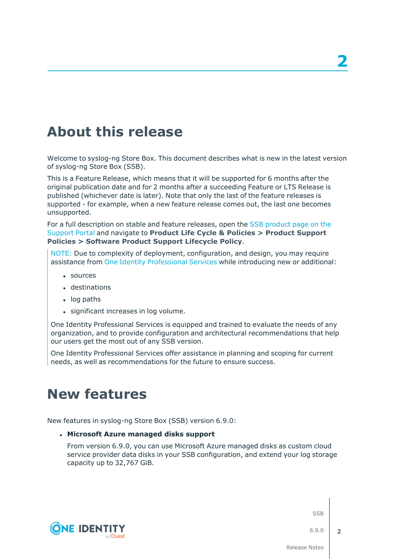# **About this release**

Welcome to syslog-ng Store Box. This document describes what is new in the latest version of syslog-ng Store Box (SSB).

This is a Feature Release, which means that it will be supported for 6 months after the original publication date and for 2 months after a succeeding Feature or LTS Release is published (whichever date is later). Note that only the last of the feature releases is supported - for example, when a new feature release comes out, the last one becomes unsupported.

For a full description on stable and feature releases, open the SSB [product](https://support.oneidentity.com/syslog-ng-store-box) page on the [Support](https://support.oneidentity.com/syslog-ng-store-box) Portal and navigate to **Product Life Cycle & Policies > Product Support Policies > Software Product Support Lifecycle Policy**.

NOTE: Due to complexity of deployment, configuration, and design, you may require assistance from One Identity [Professional](https://support.oneidentity.com/professional-services-product-select/) Services while introducing new or additional:

- sources
- **.** destinations
- $\cdot$  log paths
- significant increases in log volume.

One Identity Professional Services is equipped and trained to evaluate the needs of any organization, and to provide configuration and architectural recommendations that help our users get the most out of any SSB version.

One Identity Professional Services offer assistance in planning and scoping for current needs, as well as recommendations for the future to ensure success.

## **New features**

New features in syslog-ng Store Box (SSB) version 6.9.0:

#### <sup>l</sup> **Microsoft Azure managed disks support**

From version 6.9.0, you can use Microsoft Azure managed disks as custom cloud service provider data disks in your SSB configuration, and extend your log storage capacity up to 32,767 GiB.

SSB



6.9.0

**2**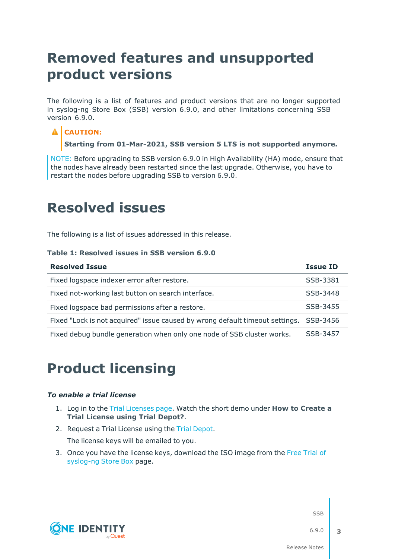# **Removed features and unsupported product versions**

The following is a list of features and product versions that are no longer supported in syslog-ng Store Box (SSB) version 6.9.0, and other limitations concerning SSB version 6.9.0.

### **A** CAUTION:

**Starting from 01-Mar-2021, SSB version 5 LTS is not supported anymore.**

NOTE: Before upgrading to SSB version 6.9.0 in High Availability (HA) mode, ensure that the nodes have already been restarted since the last upgrade. Otherwise, you have to restart the nodes before upgrading SSB to version 6.9.0.

# **Resolved issues**

The following is a list of issues addressed in this release.

#### **Table 1: Resolved issues in SSB version 6.9.0**

| <b>Resolved Issue</b>                                                                 | <b>Issue ID</b> |
|---------------------------------------------------------------------------------------|-----------------|
| Fixed logspace indexer error after restore.                                           | SSB-3381        |
| Fixed not-working last button on search interface.                                    | SSB-3448        |
| Fixed logspace bad permissions after a restore.                                       | SSB-3455        |
| Fixed "Lock is not acquired" issue caused by wrong default timeout settings. SSB-3456 |                 |
| Fixed debug bundle generation when only one node of SSB cluster works.                | SSB-3457        |

## **Product licensing**

#### *To enable a trial license*

- 1. Log in to the Trial [Licenses](https://prodcloudoutlook.sharepoint.com/Licensing/Pages/TrialLicenses.aspx) page. Watch the short demo under **How to Create a Trial License using Trial Depot?**.
- 2. Request a Trial License using the Trial [Depot.](https://trialdepot.webapps.quest.com/trialdepot/index.jsp)

The license keys will be emailed to you.

3. Once you have the license keys, download the ISO image from the Free [Trial](https://www.syslog-ng.com/register/115581/) of [syslog-ng](https://www.syslog-ng.com/register/115581/) Store Box page.



SSB

6.9.0

**3**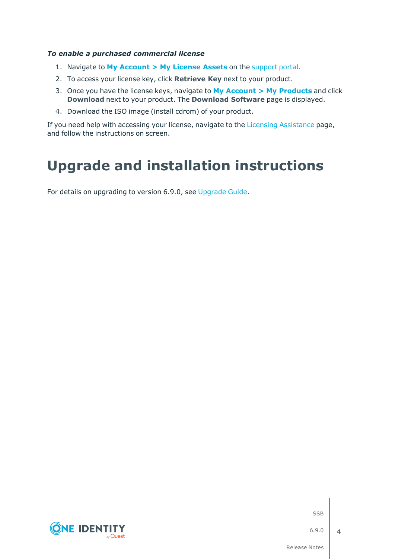#### *To enable a purchased commercial license*

- 1. Navigate to **My [Account](https://support.oneidentity.com/my-account/licensing) > My License Assets** on the [support](https://support.oneidentity.com/en-US/Login) portal.
- 2. To access your license key, click **Retrieve Key** next to your product.
- 3. Once you have the license keys, navigate to **My Account > My [Products](https://support.oneidentity.com/my-account)** and click **Download** next to your product. The **Download Software** page is displayed.
- 4. Download the ISO image (install cdrom) of your product.

If you need help with accessing your license, navigate to the Licensing [Assistance](https://support.oneidentity.com/contact-us/licensing) page, and follow the instructions on screen.

# **Upgrade and installation instructions**

For details on upgrading to version 6.9.0, see [Upgrade](https://support.oneidentity.com/technical-documents/syslog-ng-store-box/6.9.0/upgrade-guide/) Guide.



SSB

6.9.0

**4**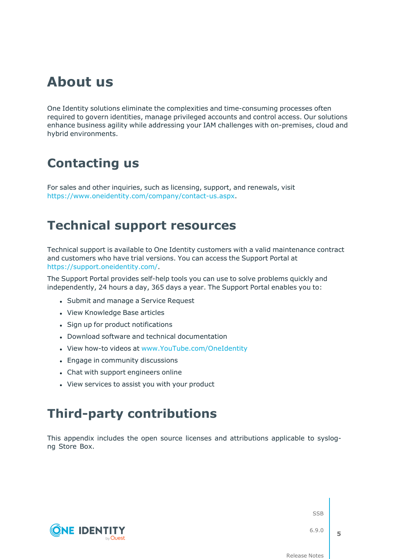# **About us**

One Identity solutions eliminate the complexities and time-consuming processes often required to govern identities, manage privileged accounts and control access. Our solutions enhance business agility while addressing your IAM challenges with on-premises, cloud and hybrid environments.

# **Contacting us**

For sales and other inquiries, such as licensing, support, and renewals, visit [https://www.oneidentity.com/company/contact-us.aspx.](https://www.oneidentity.com/company/contact-us.aspx)

## **Technical support resources**

Technical support is available to One Identity customers with a valid maintenance contract and customers who have trial versions. You can access the Support Portal at [https://support.oneidentity.com/.](https://support.oneidentity.com/)

The Support Portal provides self-help tools you can use to solve problems quickly and independently, 24 hours a day, 365 days a year. The Support Portal enables you to:

- Submit and manage a Service Request
- View Knowledge Base articles
- Sign up for product notifications
- Download software and technical documentation
- View how-to videos at [www.YouTube.com/OneIdentity](http://www.youtube.com/OneIdentity)
- Engage in community discussions
- Chat with support engineers online
- View services to assist you with your product

## **Third-party contributions**

This appendix includes the open source licenses and attributions applicable to syslogng Store Box.



SSB

6.9.0

**5**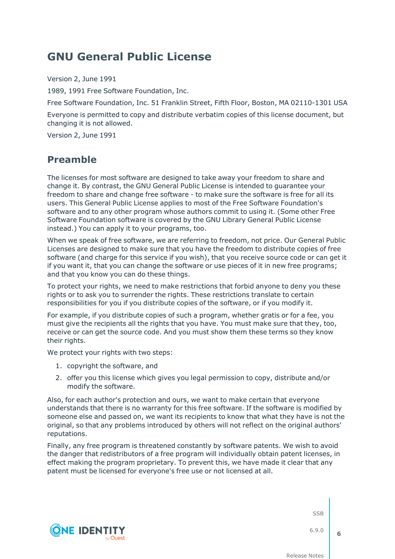## **GNU General Public License**

Version 2, June 1991

1989, 1991 Free Software Foundation, Inc.

Free Software Foundation, Inc. 51 Franklin Street, Fifth Floor, Boston, MA 02110-1301 USA

Everyone is permitted to copy and distribute verbatim copies of this license document, but changing it is not allowed.

Version 2, June 1991

## **Preamble**

The licenses for most software are designed to take away your freedom to share and change it. By contrast, the GNU General Public License is intended to guarantee your freedom to share and change free software - to make sure the software is free for all its users. This General Public License applies to most of the Free Software Foundation's software and to any other program whose authors commit to using it. (Some other Free Software Foundation software is covered by the GNU Library General Public License instead.) You can apply it to your programs, too.

When we speak of free software, we are referring to freedom, not price. Our General Public Licenses are designed to make sure that you have the freedom to distribute copies of free software (and charge for this service if you wish), that you receive source code or can get it if you want it, that you can change the software or use pieces of it in new free programs; and that you know you can do these things.

To protect your rights, we need to make restrictions that forbid anyone to deny you these rights or to ask you to surrender the rights. These restrictions translate to certain responsibilities for you if you distribute copies of the software, or if you modify it.

For example, if you distribute copies of such a program, whether gratis or for a fee, you must give the recipients all the rights that you have. You must make sure that they, too, receive or can get the source code. And you must show them these terms so they know their rights.

We protect your rights with two steps:

- 1. copyright the software, and
- 2. offer you this license which gives you legal permission to copy, distribute and/or modify the software.

Also, for each author's protection and ours, we want to make certain that everyone understands that there is no warranty for this free software. If the software is modified by someone else and passed on, we want its recipients to know that what they have is not the original, so that any problems introduced by others will not reflect on the original authors' reputations.

Finally, any free program is threatened constantly by software patents. We wish to avoid the danger that redistributors of a free program will individually obtain patent licenses, in effect making the program proprietary. To prevent this, we have made it clear that any patent must be licensed for everyone's free use or not licensed at all.

SSB

6.9.0

**6**

**ONE IDENTITY**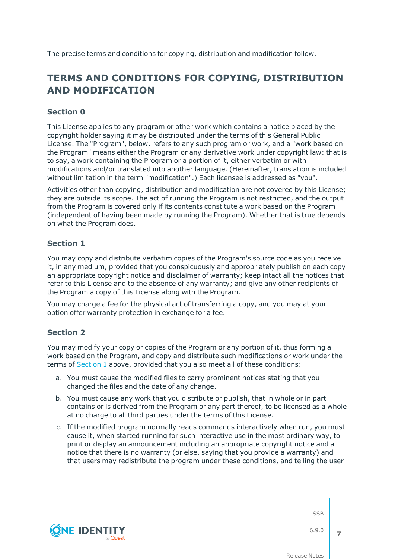The precise terms and conditions for copying, distribution and modification follow.

## **TERMS AND CONDITIONS FOR COPYING, DISTRIBUTION AND MODIFICATION**

### **Section 0**

This License applies to any program or other work which contains a notice placed by the copyright holder saying it may be distributed under the terms of this General Public License. The "Program", below, refers to any such program or work, and a "work based on the Program" means either the Program or any derivative work under copyright law: that is to say, a work containing the Program or a portion of it, either verbatim or with modifications and/or translated into another language. (Hereinafter, translation is included without limitation in the term "modification".) Each licensee is addressed as "you".

Activities other than copying, distribution and modification are not covered by this License; they are outside its scope. The act of running the Program is not restricted, and the output from the Program is covered only if its contents constitute a work based on the Program (independent of having been made by running the Program). Whether that is true depends on what the Program does.

### <span id="page-6-0"></span>**Section 1**

You may copy and distribute verbatim copies of the Program's source code as you receive it, in any medium, provided that you conspicuously and appropriately publish on each copy an appropriate copyright notice and disclaimer of warranty; keep intact all the notices that refer to this License and to the absence of any warranty; and give any other recipients of the Program a copy of this License along with the Program.

You may charge a fee for the physical act of transferring a copy, and you may at your option offer warranty protection in exchange for a fee.

### <span id="page-6-1"></span>**Section 2**

**ONE IDENTITY** 

You may modify your copy or copies of the Program or any portion of it, thus forming a work based on the Program, and copy and distribute such modifications or work under the terms of [Section](#page-6-0) 1 above, provided that you also meet all of these conditions:

- a. You must cause the modified files to carry prominent notices stating that you changed the files and the date of any change.
- b. You must cause any work that you distribute or publish, that in whole or in part contains or is derived from the Program or any part thereof, to be licensed as a whole at no charge to all third parties under the terms of this License.
- c. If the modified program normally reads commands interactively when run, you must cause it, when started running for such interactive use in the most ordinary way, to print or display an announcement including an appropriate copyright notice and a notice that there is no warranty (or else, saying that you provide a warranty) and that users may redistribute the program under these conditions, and telling the user





6.9.0

**7**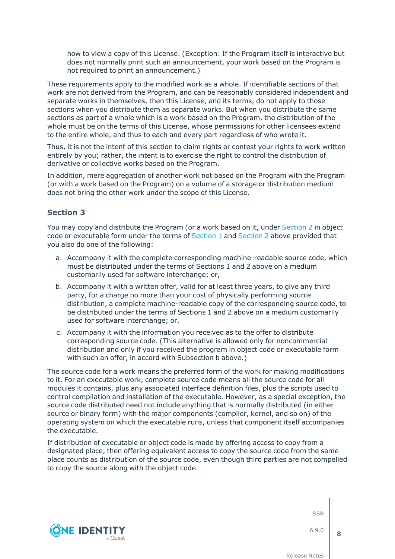how to view a copy of this License. (Exception: If the Program itself is interactive but does not normally print such an announcement, your work based on the Program is not required to print an announcement.)

These requirements apply to the modified work as a whole. If identifiable sections of that work are not derived from the Program, and can be reasonably considered independent and separate works in themselves, then this License, and its terms, do not apply to those sections when you distribute them as separate works. But when you distribute the same sections as part of a whole which is a work based on the Program, the distribution of the whole must be on the terms of this License, whose permissions for other licensees extend to the entire whole, and thus to each and every part regardless of who wrote it.

Thus, it is not the intent of this section to claim rights or contest your rights to work written entirely by you; rather, the intent is to exercise the right to control the distribution of derivative or collective works based on the Program.

In addition, mere aggregation of another work not based on the Program with the Program (or with a work based on the Program) on a volume of a storage or distribution medium does not bring the other work under the scope of this License.

#### **Section 3**

You may copy and distribute the Program (or a work based on it, under [Section](#page-6-1) 2 in object code or executable form under the terms of [Section](#page-6-1) 1 and Section 2 above provided that you also do one of the following:

- a. Accompany it with the complete corresponding machine-readable source code, which must be distributed under the terms of Sections 1 and 2 above on a medium customarily used for software interchange; or,
- b. Accompany it with a written offer, valid for at least three years, to give any third party, for a charge no more than your cost of physically performing source distribution, a complete machine-readable copy of the corresponding source code, to be distributed under the terms of Sections 1 and 2 above on a medium customarily used for software interchange; or,
- c. Accompany it with the information you received as to the offer to distribute corresponding source code. (This alternative is allowed only for noncommercial distribution and only if you received the program in object code or executable form with such an offer, in accord with Subsection b above.)

The source code for a work means the preferred form of the work for making modifications to it. For an executable work, complete source code means all the source code for all modules it contains, plus any associated interface definition files, plus the scripts used to control compilation and installation of the executable. However, as a special exception, the source code distributed need not include anything that is normally distributed (in either source or binary form) with the major components (compiler, kernel, and so on) of the operating system on which the executable runs, unless that component itself accompanies the executable.

If distribution of executable or object code is made by offering access to copy from a designated place, then offering equivalent access to copy the source code from the same place counts as distribution of the source code, even though third parties are not compelled to copy the source along with the object code.



SSB

6.9.0

**8**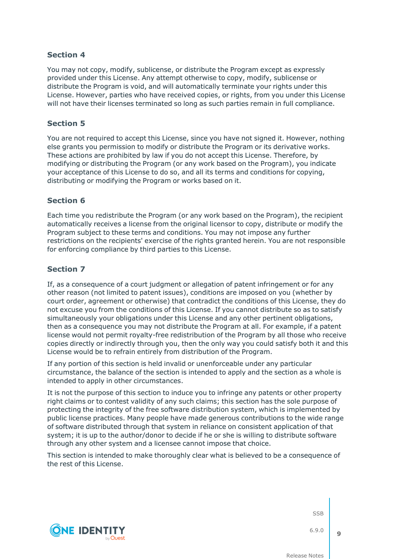You may not copy, modify, sublicense, or distribute the Program except as expressly provided under this License. Any attempt otherwise to copy, modify, sublicense or distribute the Program is void, and will automatically terminate your rights under this License. However, parties who have received copies, or rights, from you under this License will not have their licenses terminated so long as such parties remain in full compliance.

### **Section 5**

You are not required to accept this License, since you have not signed it. However, nothing else grants you permission to modify or distribute the Program or its derivative works. These actions are prohibited by law if you do not accept this License. Therefore, by modifying or distributing the Program (or any work based on the Program), you indicate your acceptance of this License to do so, and all its terms and conditions for copying, distributing or modifying the Program or works based on it.

### **Section 6**

Each time you redistribute the Program (or any work based on the Program), the recipient automatically receives a license from the original licensor to copy, distribute or modify the Program subject to these terms and conditions. You may not impose any further restrictions on the recipients' exercise of the rights granted herein. You are not responsible for enforcing compliance by third parties to this License.

### **Section 7**

If, as a consequence of a court judgment or allegation of patent infringement or for any other reason (not limited to patent issues), conditions are imposed on you (whether by court order, agreement or otherwise) that contradict the conditions of this License, they do not excuse you from the conditions of this License. If you cannot distribute so as to satisfy simultaneously your obligations under this License and any other pertinent obligations, then as a consequence you may not distribute the Program at all. For example, if a patent license would not permit royalty-free redistribution of the Program by all those who receive copies directly or indirectly through you, then the only way you could satisfy both it and this License would be to refrain entirely from distribution of the Program.

If any portion of this section is held invalid or unenforceable under any particular circumstance, the balance of the section is intended to apply and the section as a whole is intended to apply in other circumstances.

It is not the purpose of this section to induce you to infringe any patents or other property right claims or to contest validity of any such claims; this section has the sole purpose of protecting the integrity of the free software distribution system, which is implemented by public license practices. Many people have made generous contributions to the wide range of software distributed through that system in reliance on consistent application of that system; it is up to the author/donor to decide if he or she is willing to distribute software through any other system and a licensee cannot impose that choice.

This section is intended to make thoroughly clear what is believed to be a consequence of the rest of this License.

SSB

6.9.0

**9**

**ONE IDENTITY**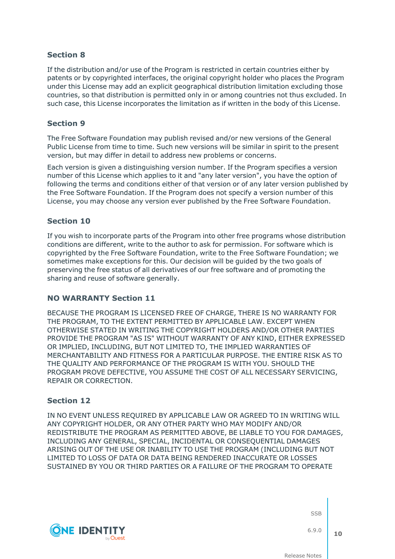If the distribution and/or use of the Program is restricted in certain countries either by patents or by copyrighted interfaces, the original copyright holder who places the Program under this License may add an explicit geographical distribution limitation excluding those countries, so that distribution is permitted only in or among countries not thus excluded. In such case, this License incorporates the limitation as if written in the body of this License.

### **Section 9**

The Free Software Foundation may publish revised and/or new versions of the General Public License from time to time. Such new versions will be similar in spirit to the present version, but may differ in detail to address new problems or concerns.

Each version is given a distinguishing version number. If the Program specifies a version number of this License which applies to it and "any later version", you have the option of following the terms and conditions either of that version or of any later version published by the Free Software Foundation. If the Program does not specify a version number of this License, you may choose any version ever published by the Free Software Foundation.

### **Section 10**

If you wish to incorporate parts of the Program into other free programs whose distribution conditions are different, write to the author to ask for permission. For software which is copyrighted by the Free Software Foundation, write to the Free Software Foundation; we sometimes make exceptions for this. Our decision will be guided by the two goals of preserving the free status of all derivatives of our free software and of promoting the sharing and reuse of software generally.

### **NO WARRANTY Section 11**

BECAUSE THE PROGRAM IS LICENSED FREE OF CHARGE, THERE IS NO WARRANTY FOR THE PROGRAM, TO THE EXTENT PERMITTED BY APPLICABLE LAW. EXCEPT WHEN OTHERWISE STATED IN WRITING THE COPYRIGHT HOLDERS AND/OR OTHER PARTIES PROVIDE THE PROGRAM "AS IS" WITHOUT WARRANTY OF ANY KIND, EITHER EXPRESSED OR IMPLIED, INCLUDING, BUT NOT LIMITED TO, THE IMPLIED WARRANTIES OF MERCHANTABILITY AND FITNESS FOR A PARTICULAR PURPOSE. THE ENTIRE RISK AS TO THE QUALITY AND PERFORMANCE OF THE PROGRAM IS WITH YOU. SHOULD THE PROGRAM PROVE DEFECTIVE, YOU ASSUME THE COST OF ALL NECESSARY SERVICING, REPAIR OR CORRECTION.

### **Section 12**

IN NO EVENT UNLESS REQUIRED BY APPLICABLE LAW OR AGREED TO IN WRITING WILL ANY COPYRIGHT HOLDER, OR ANY OTHER PARTY WHO MAY MODIFY AND/OR REDISTRIBUTE THE PROGRAM AS PERMITTED ABOVE, BE LIABLE TO YOU FOR DAMAGES, INCLUDING ANY GENERAL, SPECIAL, INCIDENTAL OR CONSEQUENTIAL DAMAGES ARISING OUT OF THE USE OR INABILITY TO USE THE PROGRAM (INCLUDING BUT NOT LIMITED TO LOSS OF DATA OR DATA BEING RENDERED INACCURATE OR LOSSES SUSTAINED BY YOU OR THIRD PARTIES OR A FAILURE OF THE PROGRAM TO OPERATE



**SSB** 

6.9.0 **10**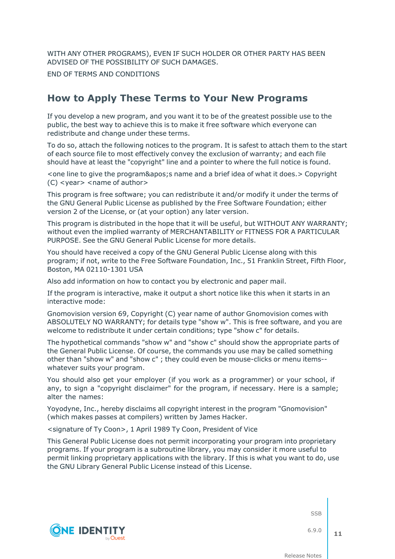WITH ANY OTHER PROGRAMS), EVEN IF SUCH HOLDER OR OTHER PARTY HAS BEEN ADVISED OF THE POSSIBILITY OF SUCH DAMAGES.

END OF TERMS AND CONDITIONS

### **How to Apply These Terms to Your New Programs**

If you develop a new program, and you want it to be of the greatest possible use to the public, the best way to achieve this is to make it free software which everyone can redistribute and change under these terms.

To do so, attach the following notices to the program. It is safest to attach them to the start of each source file to most effectively convey the exclusion of warranty; and each file should have at least the "copyright" line and a pointer to where the full notice is found.

<one line to give the program&apos; sname and a brief idea of what it does. > Copyright (C) <year> <name of author>

This program is free software; you can redistribute it and/or modify it under the terms of the GNU General Public License as published by the Free Software Foundation; either version 2 of the License, or (at your option) any later version.

This program is distributed in the hope that it will be useful, but WITHOUT ANY WARRANTY; without even the implied warranty of MERCHANTABILITY or FITNESS FOR A PARTICULAR PURPOSE. See the GNU General Public License for more details.

You should have received a copy of the GNU General Public License along with this program; if not, write to the Free Software Foundation, Inc., 51 Franklin Street, Fifth Floor, Boston, MA 02110-1301 USA

Also add information on how to contact you by electronic and paper mail.

If the program is interactive, make it output a short notice like this when it starts in an interactive mode:

Gnomovision version 69, Copyright (C) year name of author Gnomovision comes with ABSOLUTELY NO WARRANTY; for details type "show w". This is free software, and you are welcome to redistribute it under certain conditions; type "show c" for details.

The hypothetical commands "show w" and "show c" should show the appropriate parts of the General Public License. Of course, the commands you use may be called something other than "show w" and "show c" ; they could even be mouse-clicks or menu items- whatever suits your program.

You should also get your employer (if you work as a programmer) or your school, if any, to sign a "copyright disclaimer" for the program, if necessary. Here is a sample; alter the names:

Yoyodyne, Inc., hereby disclaims all copyright interest in the program "Gnomovision" (which makes passes at compilers) written by James Hacker.

<signature of Ty Coon>, 1 April 1989 Ty Coon, President of Vice

This General Public License does not permit incorporating your program into proprietary programs. If your program is a subroutine library, you may consider it more useful to permit linking proprietary applications with the library. If this is what you want to do, use the GNU Library General Public License instead of this License.



SSB

6.9.0 **11**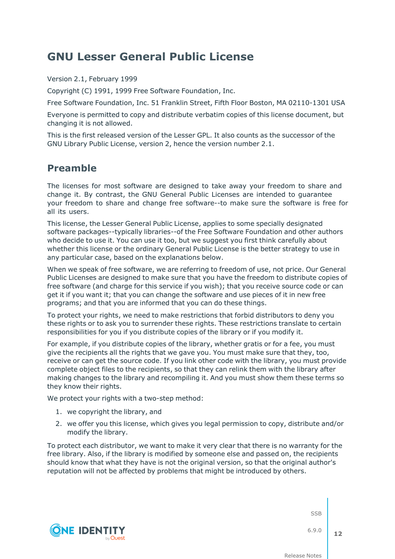## **GNU Lesser General Public License**

Version 2.1, February 1999

Copyright (C) 1991, 1999 Free Software Foundation, Inc.

Free Software Foundation, Inc. 51 Franklin Street, Fifth Floor Boston, MA 02110-1301 USA

Everyone is permitted to copy and distribute verbatim copies of this license document, but changing it is not allowed.

This is the first released version of the Lesser GPL. It also counts as the successor of the GNU Library Public License, version 2, hence the version number 2.1.

### **Preamble**

The licenses for most software are designed to take away your freedom to share and change it. By contrast, the GNU General Public Licenses are intended to guarantee your freedom to share and change free software--to make sure the software is free for all its users.

This license, the Lesser General Public License, applies to some specially designated software packages--typically libraries--of the Free Software Foundation and other authors who decide to use it. You can use it too, but we suggest you first think carefully about whether this license or the ordinary General Public License is the better strategy to use in any particular case, based on the explanations below.

When we speak of free software, we are referring to freedom of use, not price. Our General Public Licenses are designed to make sure that you have the freedom to distribute copies of free software (and charge for this service if you wish); that you receive source code or can get it if you want it; that you can change the software and use pieces of it in new free programs; and that you are informed that you can do these things.

To protect your rights, we need to make restrictions that forbid distributors to deny you these rights or to ask you to surrender these rights. These restrictions translate to certain responsibilities for you if you distribute copies of the library or if you modify it.

For example, if you distribute copies of the library, whether gratis or for a fee, you must give the recipients all the rights that we gave you. You must make sure that they, too, receive or can get the source code. If you link other code with the library, you must provide complete object files to the recipients, so that they can relink them with the library after making changes to the library and recompiling it. And you must show them these terms so they know their rights.

We protect your rights with a two-step method:

- 1. we copyright the library, and
- 2. we offer you this license, which gives you legal permission to copy, distribute and/or modify the library.

To protect each distributor, we want to make it very clear that there is no warranty for the free library. Also, if the library is modified by someone else and passed on, the recipients should know that what they have is not the original version, so that the original author's reputation will not be affected by problems that might be introduced by others.



SSB

6.9.0 **12**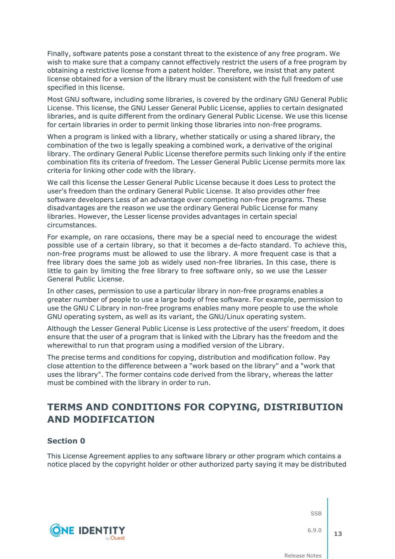Finally, software patents pose a constant threat to the existence of any free program. We wish to make sure that a company cannot effectively restrict the users of a free program by obtaining a restrictive license from a patent holder. Therefore, we insist that any patent license obtained for a version of the library must be consistent with the full freedom of use specified in this license.

Most GNU software, including some libraries, is covered by the ordinary GNU General Public License. This license, the GNU Lesser General Public License, applies to certain designated libraries, and is quite different from the ordinary General Public License. We use this license for certain libraries in order to permit linking those libraries into non-free programs.

When a program is linked with a library, whether statically or using a shared library, the combination of the two is legally speaking a combined work, a derivative of the original library. The ordinary General Public License therefore permits such linking only if the entire combination fits its criteria of freedom. The Lesser General Public License permits more lax criteria for linking other code with the library.

We call this license the Lesser General Public License because it does Less to protect the user's freedom than the ordinary General Public License. It also provides other free software developers Less of an advantage over competing non-free programs. These disadvantages are the reason we use the ordinary General Public License for many libraries. However, the Lesser license provides advantages in certain special circumstances.

For example, on rare occasions, there may be a special need to encourage the widest possible use of a certain library, so that it becomes a de-facto standard. To achieve this, non-free programs must be allowed to use the library. A more frequent case is that a free library does the same job as widely used non-free libraries. In this case, there is little to gain by limiting the free library to free software only, so we use the Lesser General Public License.

In other cases, permission to use a particular library in non-free programs enables a greater number of people to use a large body of free software. For example, permission to use the GNU C Library in non-free programs enables many more people to use the whole GNU operating system, as well as its variant, the GNU/Linux operating system.

Although the Lesser General Public License is Less protective of the users' freedom, it does ensure that the user of a program that is linked with the Library has the freedom and the wherewithal to run that program using a modified version of the Library.

The precise terms and conditions for copying, distribution and modification follow. Pay close attention to the difference between a "work based on the library" and a "work that uses the library". The former contains code derived from the library, whereas the latter must be combined with the library in order to run.

## **TERMS AND CONDITIONS FOR COPYING, DISTRIBUTION AND MODIFICATION**

### **Section 0**

**ONE IDENTITY** 

This License Agreement applies to any software library or other program which contains a notice placed by the copyright holder or other authorized party saying it may be distributed

SSB

6.9.0

**13**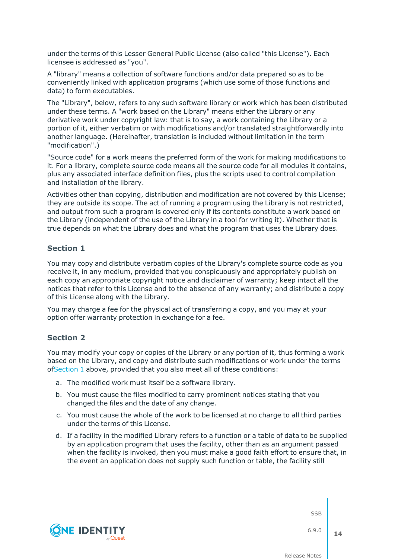under the terms of this Lesser General Public License (also called "this License"). Each licensee is addressed as "you".

A "library" means a collection of software functions and/or data prepared so as to be conveniently linked with application programs (which use some of those functions and data) to form executables.

The "Library", below, refers to any such software library or work which has been distributed under these terms. A "work based on the Library" means either the Library or any derivative work under copyright law: that is to say, a work containing the Library or a portion of it, either verbatim or with modifications and/or translated straightforwardly into another language. (Hereinafter, translation is included without limitation in the term "modification".)

"Source code" for a work means the preferred form of the work for making modifications to it. For a library, complete source code means all the source code for all modules it contains, plus any associated interface definition files, plus the scripts used to control compilation and installation of the library.

Activities other than copying, distribution and modification are not covered by this License; they are outside its scope. The act of running a program using the Library is not restricted, and output from such a program is covered only if its contents constitute a work based on the Library (independent of the use of the Library in a tool for writing it). Whether that is true depends on what the Library does and what the program that uses the Library does.

### <span id="page-13-0"></span>**Section 1**

You may copy and distribute verbatim copies of the Library's complete source code as you receive it, in any medium, provided that you conspicuously and appropriately publish on each copy an appropriate copyright notice and disclaimer of warranty; keep intact all the notices that refer to this License and to the absence of any warranty; and distribute a copy of this License along with the Library.

You may charge a fee for the physical act of transferring a copy, and you may at your option offer warranty protection in exchange for a fee.

### <span id="page-13-2"></span>**Section 2**

You may modify your copy or copies of the Library or any portion of it, thus forming a work based on the Library, and copy and distribute such modifications or work under the terms of[Section](#page-13-0) 1 above, provided that you also meet all of these conditions:

- a. The modified work must itself be a software library.
- b. You must cause the files modified to carry prominent notices stating that you changed the files and the date of any change.
- c. You must cause the whole of the work to be licensed at no charge to all third parties under the terms of this License.
- <span id="page-13-1"></span>d. If a facility in the modified Library refers to a function or a table of data to be supplied by an application program that uses the facility, other than as an argument passed when the facility is invoked, then you must make a good faith effort to ensure that, in the event an application does not supply such function or table, the facility still



SSB

6.9.0 **14**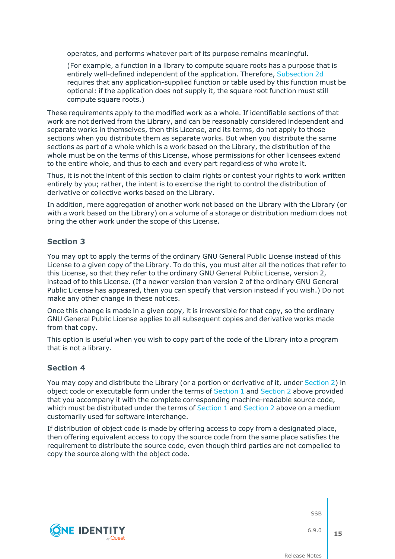operates, and performs whatever part of its purpose remains meaningful.

(For example, a function in a library to compute square roots has a purpose that is entirely well-defined independent of the application. Therefore, [Subsection](#page-13-1) 2d requires that any application-supplied function or table used by this function must be optional: if the application does not supply it, the square root function must still compute square roots.)

These requirements apply to the modified work as a whole. If identifiable sections of that work are not derived from the Library, and can be reasonably considered independent and separate works in themselves, then this License, and its terms, do not apply to those sections when you distribute them as separate works. But when you distribute the same sections as part of a whole which is a work based on the Library, the distribution of the whole must be on the terms of this License, whose permissions for other licensees extend to the entire whole, and thus to each and every part regardless of who wrote it.

Thus, it is not the intent of this section to claim rights or contest your rights to work written entirely by you; rather, the intent is to exercise the right to control the distribution of derivative or collective works based on the Library.

In addition, mere aggregation of another work not based on the Library with the Library (or with a work based on the Library) on a volume of a storage or distribution medium does not bring the other work under the scope of this License.

### **Section 3**

You may opt to apply the terms of the ordinary GNU General Public License instead of this License to a given copy of the Library. To do this, you must alter all the notices that refer to this License, so that they refer to the ordinary GNU General Public License, version 2, instead of to this License. (If a newer version than version 2 of the ordinary GNU General Public License has appeared, then you can specify that version instead if you wish.) Do not make any other change in these notices.

Once this change is made in a given copy, it is irreversible for that copy, so the ordinary GNU General Public License applies to all subsequent copies and derivative works made from that copy.

This option is useful when you wish to copy part of the code of the Library into a program that is not a library.

### **Section 4**

You may copy and distribute the Library (or a portion or derivative of it, under [Section](#page-13-2) 2) in object code or executable form under the terms of [Section](#page-13-0) 1 and [Section](#page-13-2) 2 above provided that you accompany it with the complete corresponding machine-readable source code, which must be distributed under the terms of [Section](#page-13-2) 1 and Section 2 above on a medium customarily used for software interchange.

If distribution of object code is made by offering access to copy from a designated place, then offering equivalent access to copy the source code from the same place satisfies the requirement to distribute the source code, even though third parties are not compelled to copy the source along with the object code.



**SSB** 

6.9.0 **15**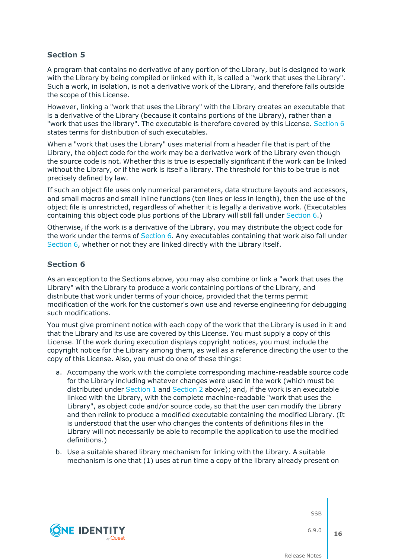A program that contains no derivative of any portion of the Library, but is designed to work with the Library by being compiled or linked with it, is called a "work that uses the Library". Such a work, in isolation, is not a derivative work of the Library, and therefore falls outside the scope of this License.

However, linking a "work that uses the Library" with the Library creates an executable that is a derivative of the Library (because it contains portions of the Library), rather than a "work that uses the library". The executable is therefore covered by this License. [Section](#page-15-0) 6 states terms for distribution of such executables.

When a "work that uses the Library" uses material from a header file that is part of the Library, the object code for the work may be a derivative work of the Library even though the source code is not. Whether this is true is especially significant if the work can be linked without the Library, or if the work is itself a library. The threshold for this to be true is not precisely defined by law.

If such an object file uses only numerical parameters, data structure layouts and accessors, and small macros and small inline functions (ten lines or less in length), then the use of the object file is unrestricted, regardless of whether it is legally a derivative work. (Executables containing this object code plus portions of the Library will still fall under [Section](#page-15-0) 6.)

Otherwise, if the work is a derivative of the Library, you may distribute the object code for the work under the terms of [Section](#page-15-0) 6. Any executables containing that work also fall under [Section](#page-15-0) 6, whether or not they are linked directly with the Library itself.

### <span id="page-15-0"></span>**Section 6**

As an exception to the Sections above, you may also combine or link a "work that uses the Library" with the Library to produce a work containing portions of the Library, and distribute that work under terms of your choice, provided that the terms permit modification of the work for the customer's own use and reverse engineering for debugging such modifications.

You must give prominent notice with each copy of the work that the Library is used in it and that the Library and its use are covered by this License. You must supply a copy of this License. If the work during execution displays copyright notices, you must include the copyright notice for the Library among them, as well as a reference directing the user to the copy of this License. Also, you must do one of these things:

- <span id="page-15-1"></span>a. Accompany the work with the complete corresponding machine-readable source code for the Library including whatever changes were used in the work (which must be distributed under [Section](#page-13-0) 1 and [Section](#page-13-2) 2 above); and, if the work is an executable linked with the Library, with the complete machine-readable "work that uses the Library", as object code and/or source code, so that the user can modify the Library and then relink to produce a modified executable containing the modified Library. (It is understood that the user who changes the contents of definitions files in the Library will not necessarily be able to recompile the application to use the modified definitions.)
- b. Use a suitable shared library mechanism for linking with the Library. A suitable mechanism is one that (1) uses at run time a copy of the library already present on



**SSB** 

6.9.0 **16**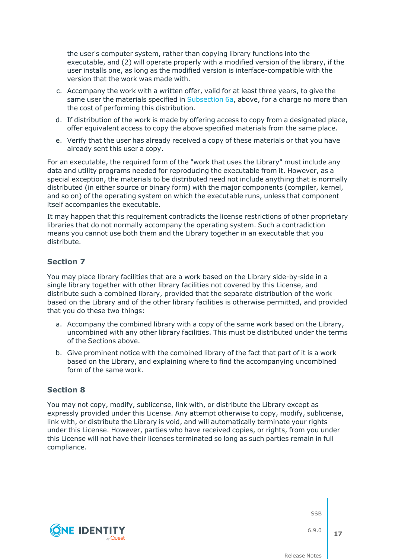the user's computer system, rather than copying library functions into the executable, and (2) will operate properly with a modified version of the library, if the user installs one, as long as the modified version is interface-compatible with the version that the work was made with.

- c. Accompany the work with a written offer, valid for at least three years, to give the same user the materials specified in [Subsection](#page-15-1) 6a, above, for a charge no more than the cost of performing this distribution.
- d. If distribution of the work is made by offering access to copy from a designated place, offer equivalent access to copy the above specified materials from the same place.
- e. Verify that the user has already received a copy of these materials or that you have already sent this user a copy.

For an executable, the required form of the "work that uses the Library" must include any data and utility programs needed for reproducing the executable from it. However, as a special exception, the materials to be distributed need not include anything that is normally distributed (in either source or binary form) with the major components (compiler, kernel, and so on) of the operating system on which the executable runs, unless that component itself accompanies the executable.

It may happen that this requirement contradicts the license restrictions of other proprietary libraries that do not normally accompany the operating system. Such a contradiction means you cannot use both them and the Library together in an executable that you distribute.

### **Section 7**

You may place library facilities that are a work based on the Library side-by-side in a single library together with other library facilities not covered by this License, and distribute such a combined library, provided that the separate distribution of the work based on the Library and of the other library facilities is otherwise permitted, and provided that you do these two things:

- a. Accompany the combined library with a copy of the same work based on the Library, uncombined with any other library facilities. This must be distributed under the terms of the Sections above.
- b. Give prominent notice with the combined library of the fact that part of it is a work based on the Library, and explaining where to find the accompanying uncombined form of the same work.

### **Section 8**

You may not copy, modify, sublicense, link with, or distribute the Library except as expressly provided under this License. Any attempt otherwise to copy, modify, sublicense, link with, or distribute the Library is void, and will automatically terminate your rights under this License. However, parties who have received copies, or rights, from you under this License will not have their licenses terminated so long as such parties remain in full compliance.



**SSB** 

6.9.0 **17**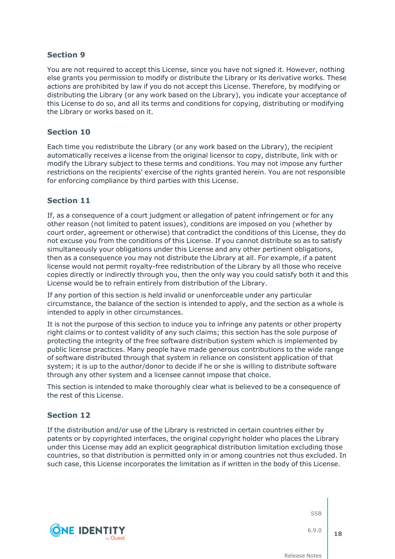You are not required to accept this License, since you have not signed it. However, nothing else grants you permission to modify or distribute the Library or its derivative works. These actions are prohibited by law if you do not accept this License. Therefore, by modifying or distributing the Library (or any work based on the Library), you indicate your acceptance of this License to do so, and all its terms and conditions for copying, distributing or modifying the Library or works based on it.

### **Section 10**

Each time you redistribute the Library (or any work based on the Library), the recipient automatically receives a license from the original licensor to copy, distribute, link with or modify the Library subject to these terms and conditions. You may not impose any further restrictions on the recipients' exercise of the rights granted herein. You are not responsible for enforcing compliance by third parties with this License.

### **Section 11**

If, as a consequence of a court judgment or allegation of patent infringement or for any other reason (not limited to patent issues), conditions are imposed on you (whether by court order, agreement or otherwise) that contradict the conditions of this License, they do not excuse you from the conditions of this License. If you cannot distribute so as to satisfy simultaneously your obligations under this License and any other pertinent obligations, then as a consequence you may not distribute the Library at all. For example, if a patent license would not permit royalty-free redistribution of the Library by all those who receive copies directly or indirectly through you, then the only way you could satisfy both it and this License would be to refrain entirely from distribution of the Library.

If any portion of this section is held invalid or unenforceable under any particular circumstance, the balance of the section is intended to apply, and the section as a whole is intended to apply in other circumstances.

It is not the purpose of this section to induce you to infringe any patents or other property right claims or to contest validity of any such claims; this section has the sole purpose of protecting the integrity of the free software distribution system which is implemented by public license practices. Many people have made generous contributions to the wide range of software distributed through that system in reliance on consistent application of that system; it is up to the author/donor to decide if he or she is willing to distribute software through any other system and a licensee cannot impose that choice.

This section is intended to make thoroughly clear what is believed to be a consequence of the rest of this License.

### **Section 12**

If the distribution and/or use of the Library is restricted in certain countries either by patents or by copyrighted interfaces, the original copyright holder who places the Library under this License may add an explicit geographical distribution limitation excluding those countries, so that distribution is permitted only in or among countries not thus excluded. In such case, this License incorporates the limitation as if written in the body of this License.

**SSB** 



6.9.0 **18**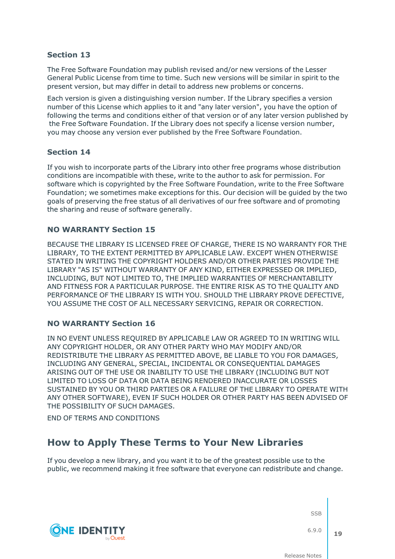The Free Software Foundation may publish revised and/or new versions of the Lesser General Public License from time to time. Such new versions will be similar in spirit to the present version, but may differ in detail to address new problems or concerns.

Each version is given a distinguishing version number. If the Library specifies a version number of this License which applies to it and "any later version", you have the option of following the terms and conditions either of that version or of any later version published by the Free Software Foundation. If the Library does not specify a license version number, you may choose any version ever published by the Free Software Foundation.

### **Section 14**

If you wish to incorporate parts of the Library into other free programs whose distribution conditions are incompatible with these, write to the author to ask for permission. For software which is copyrighted by the Free Software Foundation, write to the Free Software Foundation; we sometimes make exceptions for this. Our decision will be guided by the two goals of preserving the free status of all derivatives of our free software and of promoting the sharing and reuse of software generally.

### **NO WARRANTY Section 15**

BECAUSE THE LIBRARY IS LICENSED FREE OF CHARGE, THERE IS NO WARRANTY FOR THE LIBRARY, TO THE EXTENT PERMITTED BY APPLICABLE LAW. EXCEPT WHEN OTHERWISE STATED IN WRITING THE COPYRIGHT HOLDERS AND/OR OTHER PARTIES PROVIDE THE LIBRARY "AS IS" WITHOUT WARRANTY OF ANY KIND, EITHER EXPRESSED OR IMPLIED, INCLUDING, BUT NOT LIMITED TO, THE IMPLIED WARRANTIES OF MERCHANTABILITY AND FITNESS FOR A PARTICULAR PURPOSE. THE ENTIRE RISK AS TO THE QUALITY AND PERFORMANCE OF THE LIBRARY IS WITH YOU. SHOULD THE LIBRARY PROVE DEFECTIVE, YOU ASSUME THE COST OF ALL NECESSARY SERVICING, REPAIR OR CORRECTION.

### **NO WARRANTY Section 16**

IN NO EVENT UNLESS REQUIRED BY APPLICABLE LAW OR AGREED TO IN WRITING WILL ANY COPYRIGHT HOLDER, OR ANY OTHER PARTY WHO MAY MODIFY AND/OR REDISTRIBUTE THE LIBRARY AS PERMITTED ABOVE, BE LIABLE TO YOU FOR DAMAGES, INCLUDING ANY GENERAL, SPECIAL, INCIDENTAL OR CONSEQUENTIAL DAMAGES ARISING OUT OF THE USE OR INABILITY TO USE THE LIBRARY (INCLUDING BUT NOT LIMITED TO LOSS OF DATA OR DATA BEING RENDERED INACCURATE OR LOSSES SUSTAINED BY YOU OR THIRD PARTIES OR A FAILURE OF THE LIBRARY TO OPERATE WITH ANY OTHER SOFTWARE), EVEN IF SUCH HOLDER OR OTHER PARTY HAS BEEN ADVISED OF THE POSSIBILITY OF SUCH DAMAGES.

END OF TERMS AND CONDITIONS

**ONE IDENTITY** 

## **How to Apply These Terms to Your New Libraries**

If you develop a new library, and you want it to be of the greatest possible use to the public, we recommend making it free software that everyone can redistribute and change.

**SSB** 

6.9.0

**19**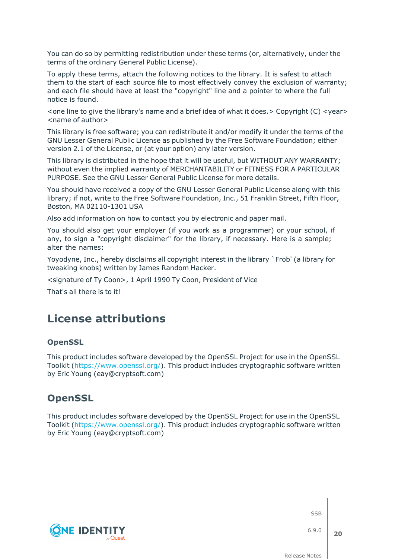You can do so by permitting redistribution under these terms (or, alternatively, under the terms of the ordinary General Public License).

To apply these terms, attach the following notices to the library. It is safest to attach them to the start of each source file to most effectively convey the exclusion of warranty; and each file should have at least the "copyright" line and a pointer to where the full notice is found.

 $\le$  one line to give the library's name and a brief idea of what it does.  $>$  Copyright (C)  $\le$  year $>$ <name of author>

This library is free software; you can redistribute it and/or modify it under the terms of the GNU Lesser General Public License as published by the Free Software Foundation; either version 2.1 of the License, or (at your option) any later version.

This library is distributed in the hope that it will be useful, but WITHOUT ANY WARRANTY; without even the implied warranty of MERCHANTABILITY or FITNESS FOR A PARTICULAR PURPOSE. See the GNU Lesser General Public License for more details.

You should have received a copy of the GNU Lesser General Public License along with this library; if not, write to the Free Software Foundation, Inc., 51 Franklin Street, Fifth Floor, Boston, MA 02110-1301 USA

Also add information on how to contact you by electronic and paper mail.

You should also get your employer (if you work as a programmer) or your school, if any, to sign a "copyright disclaimer" for the library, if necessary. Here is a sample; alter the names:

Yoyodyne, Inc., hereby disclaims all copyright interest in the library `Frob' (a library for tweaking knobs) written by James Random Hacker.

<signature of Ty Coon>, 1 April 1990 Ty Coon, President of Vice

That's all there is to it!

## **License attributions**

### **OpenSSL**

This product includes software developed by the OpenSSL Project for use in the OpenSSL Toolkit [\(https://www.openssl.org/](https://www.openssl.org/)). This product includes cryptographic software written by Eric Young (eay@cryptsoft.com)

## **OpenSSL**

This product includes software developed by the OpenSSL Project for use in the OpenSSL Toolkit [\(https://www.openssl.org/](https://www.openssl.org/)). This product includes cryptographic software written by Eric Young (eay@cryptsoft.com)



SSB

6.9.0 **20**